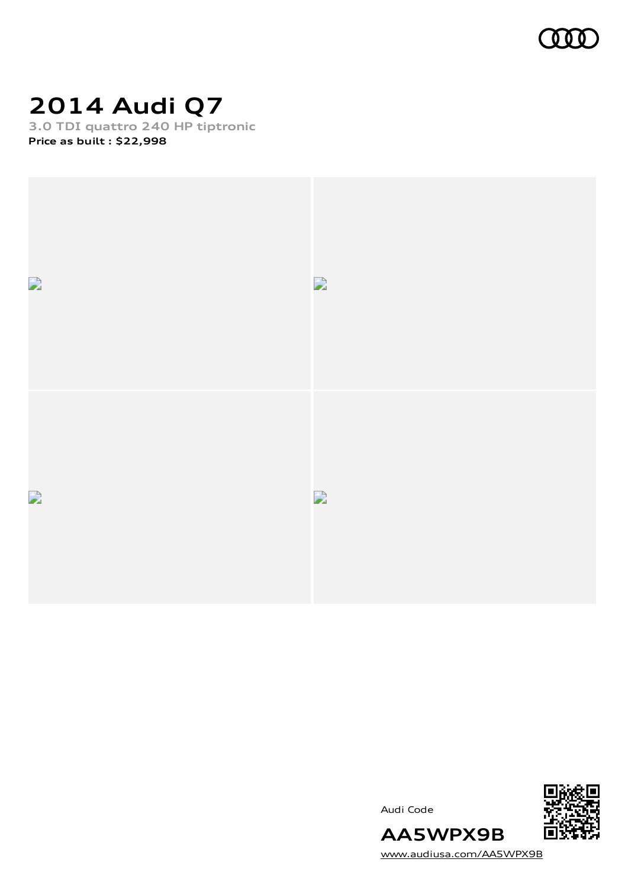

### **2014 Audi Q7**

**3.0 TDI quattro 240 HP tiptronic Price as built [:](#page-10-0) \$22,998**







[www.audiusa.com/AA5WPX9B](https://www.audiusa.com/AA5WPX9B)

**AA5WPX9B**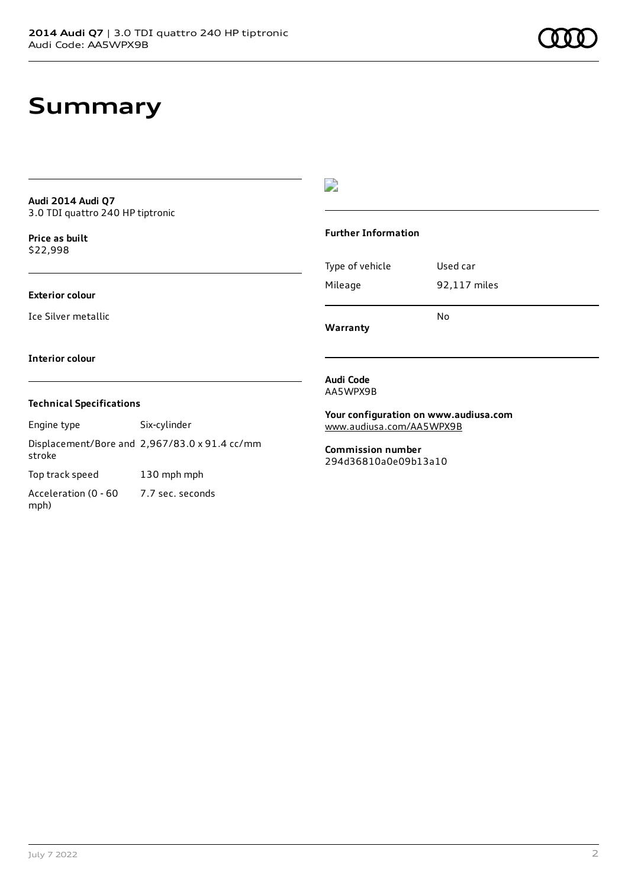### **Summary**

**Audi 2014 Audi Q7** 3.0 TDI quattro 240 HP tiptronic

**Price as buil[t](#page-10-0)** \$22,998

#### **Exterior colour**

Ice Silver metallic

### D

#### **Further Information**

|                 | N٥           |
|-----------------|--------------|
| Mileage         | 92,117 miles |
| Type of vehicle | Used car     |

**Warranty**

#### **Interior colour**

#### **Technical Specifications**

Engine type Six-cylinder Displacement/Bore and 2,967/83.0 x 91.4 cc/mm stroke

Top track speed 130 mph mph

Acceleration (0 - 60 mph) 7.7 sec. seconds

#### **Audi Code** AA5WPX9B

**Your configuration on www.audiusa.com** [www.audiusa.com/AA5WPX9B](https://www.audiusa.com/AA5WPX9B)

**Commission number** 294d36810a0e09b13a10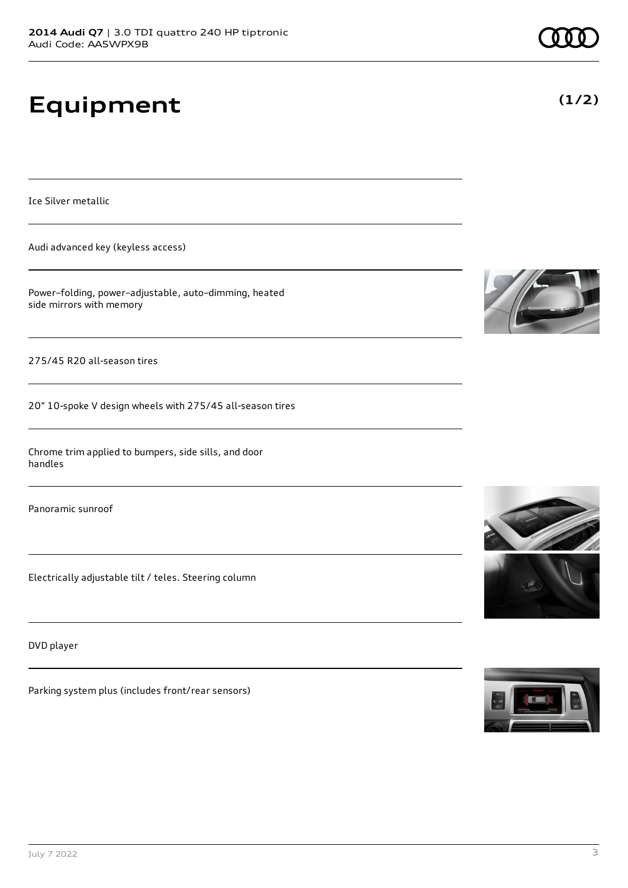# **Equipment**

Ice Silver metallic

Audi advanced key (keyless access)

Power–folding, power–adjustable, auto–dimming, heated side mirrors with memory

275/45 R20 all-season tires

20" 10-spoke V design wheels with 275/45 all-season tires

Chrome trim applied to bumpers, side sills, and door handles

Panoramic sunroof

Electrically adjustable tilt / teles. Steering column

DVD player

Parking system plus (includes front/rear sensors)









**(1/2)**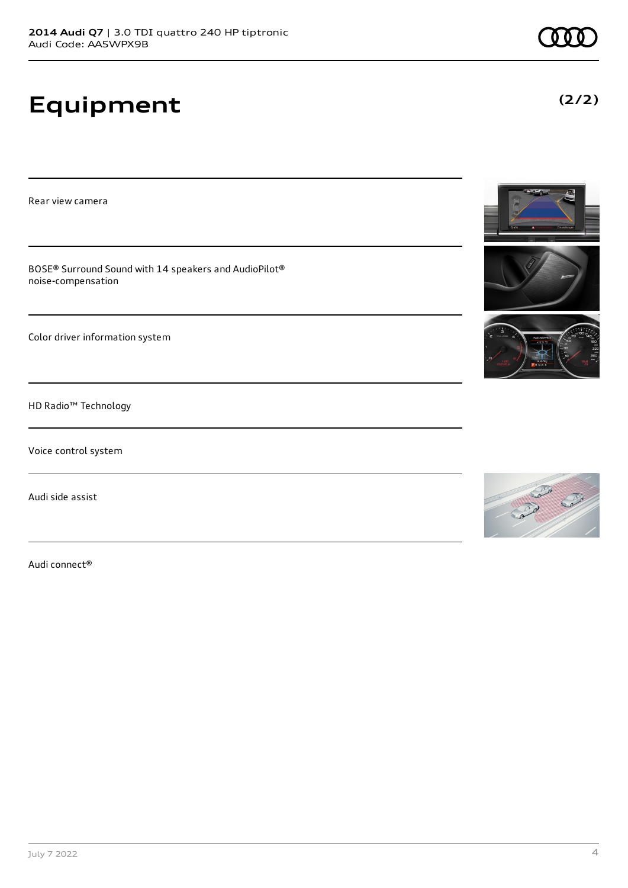# **Equipment**

Rear view camera

BOSE® Surround Sound with 14 speakers and AudioPilot® noise-compensation

Color driver information system

HD Radio™ Technology

Voice control system

Audi side assist

Audi connect®





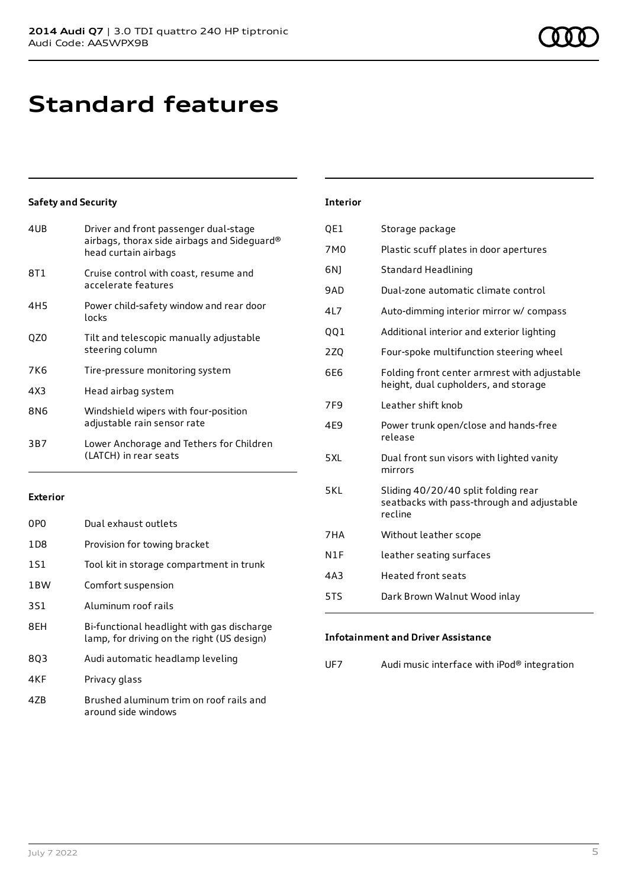### **Standard features**

#### **Safety and Security**

| 4UB             | Driver and front passenger dual-stage<br>airbags, thorax side airbags and Sideguard®<br>head curtain airbags |
|-----------------|--------------------------------------------------------------------------------------------------------------|
| 8T1             | Cruise control with coast, resume and<br>accelerate features                                                 |
| 4H <sub>5</sub> | Power child-safety window and rear door<br>locks                                                             |
| QZ0             | Tilt and telescopic manually adjustable<br>steering column                                                   |
| 7K6             | Tire-pressure monitoring system                                                                              |
| 4X3             | Head airbag system                                                                                           |
| 8N6             | Windshield wipers with four-position<br>adjustable rain sensor rate                                          |
| 3B7             | Lower Anchorage and Tethers for Children<br>(LATCH) in rear seats                                            |
|                 |                                                                                                              |

#### **Exterior**

| 0P <sub>0</sub>  | Dual exhaust outlets                                                                     |
|------------------|------------------------------------------------------------------------------------------|
| 1D <sub>8</sub>  | Provision for towing bracket                                                             |
| 1S1              | Tool kit in storage compartment in trunk                                                 |
| 1 <sub>B</sub> W | Comfort suspension                                                                       |
| 3S1              | Aluminum roof rails                                                                      |
| 8FH              | Bi-functional headlight with gas discharge<br>lamp, for driving on the right (US design) |
| 803              | Audi automatic headlamp leveling                                                         |
| 4KF              | Privacy glass                                                                            |
| 47B              | Brushed aluminum trim on roof rails and<br>around side windows                           |

### **Interior**

| QE1             | Storage package                                                                              |
|-----------------|----------------------------------------------------------------------------------------------|
| 7M0             | Plastic scuff plates in door apertures                                                       |
| 6N)             | <b>Standard Headlining</b>                                                                   |
| 9AD             | Dual-zone automatic climate control                                                          |
| 4L7             | Auto-dimming interior mirror w/ compass                                                      |
| 001             | Additional interior and exterior lighting                                                    |
| 2ZQ             | Four-spoke multifunction steering wheel                                                      |
| 6E6             | Folding front center armrest with adjustable<br>height, dual cupholders, and storage         |
| 7F <sub>9</sub> | Leather shift knob                                                                           |
| 4E9             | Power trunk open/close and hands-free<br>release                                             |
| 5XL             | Dual front sun visors with lighted vanity<br>mirrors                                         |
| 5KL             | Sliding 40/20/40 split folding rear<br>seatbacks with pass-through and adjustable<br>recline |
| 7HA             | Without leather scope                                                                        |
| N1F             | leather seating surfaces                                                                     |
| 4A3             | <b>Heated front seats</b>                                                                    |
| 5TS             | Dark Brown Walnut Wood inlay                                                                 |

#### **Infotainment and Driver Assistance**

UF7 Audi music interface with iPod® integration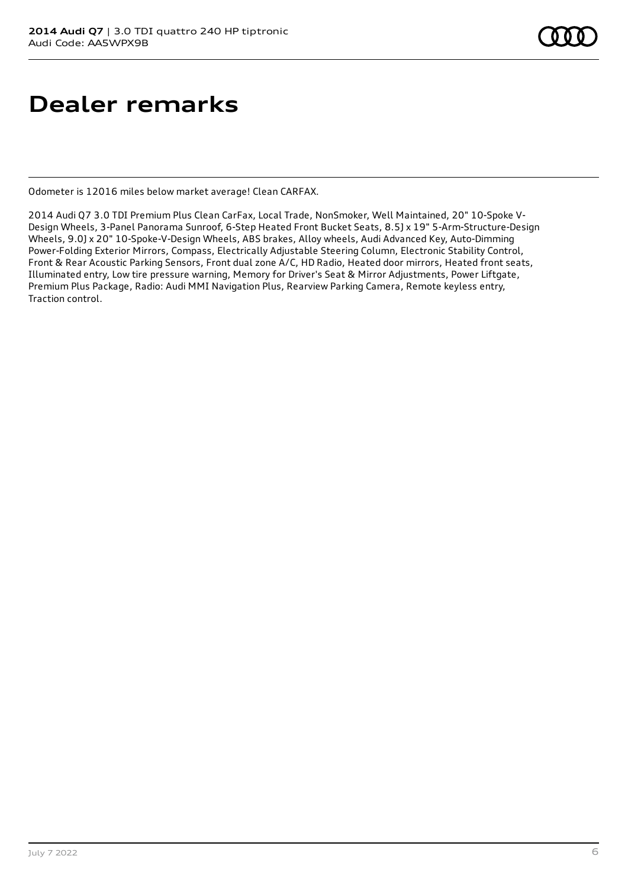### **Dealer remarks**

Odometer is 12016 miles below market average! Clean CARFAX.

2014 Audi Q7 3.0 TDI Premium Plus Clean CarFax, Local Trade, NonSmoker, Well Maintained, 20" 10-Spoke V-Design Wheels, 3-Panel Panorama Sunroof, 6-Step Heated Front Bucket Seats, 8.5J x 19" 5-Arm-Structure-Design Wheels, 9.0J x 20" 10-Spoke-V-Design Wheels, ABS brakes, Alloy wheels, Audi Advanced Key, Auto-Dimming Power-Folding Exterior Mirrors, Compass, Electrically Adjustable Steering Column, Electronic Stability Control, Front & Rear Acoustic Parking Sensors, Front dual zone A/C, HD Radio, Heated door mirrors, Heated front seats, Illuminated entry, Low tire pressure warning, Memory for Driver's Seat & Mirror Adjustments, Power Liftgate, Premium Plus Package, Radio: Audi MMI Navigation Plus, Rearview Parking Camera, Remote keyless entry, Traction control.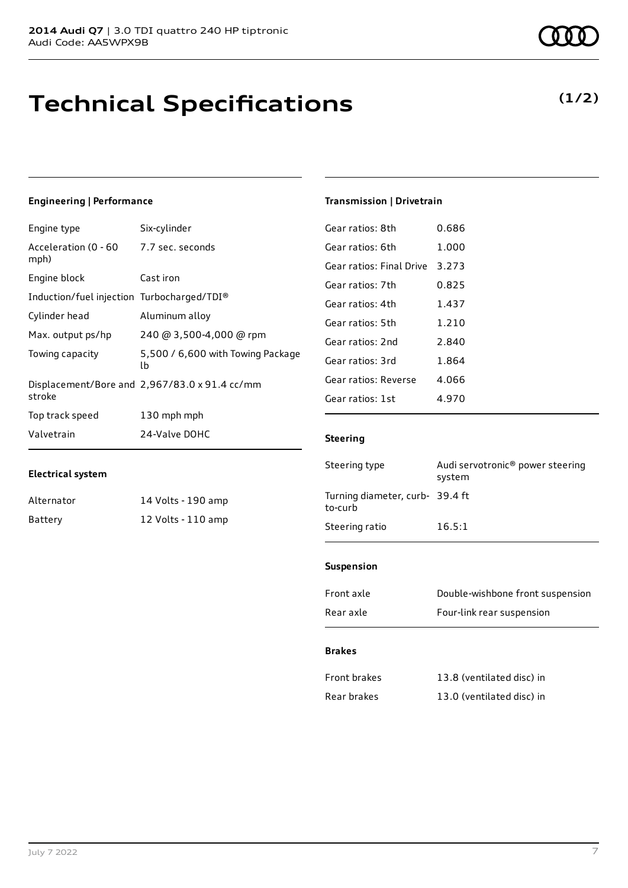### **Technical Specifications**

#### **Engineering | Performance**

| Engine type                                     | Six-cylinder                                  |
|-------------------------------------------------|-----------------------------------------------|
| Acceleration (0 - 60 - 7.7 sec. seconds<br>mph) |                                               |
| Engine block                                    | Cast iron                                     |
| Induction/fuel injection Turbocharged/TDI®      |                                               |
| Cylinder head                                   | Aluminum alloy                                |
| Max. output ps/hp                               | 240 @ 3,500-4,000 @ rpm                       |
| Towing capacity                                 | 5,500 / 6,600 with Towing Package<br>lb       |
| stroke                                          | Displacement/Bore and 2,967/83.0 x 91.4 cc/mm |
| Top track speed                                 | 130 mph mph                                   |
| Valvetrain                                      | 24-Valve DOHC                                 |

#### **Electrical system**

| Alternator | 14 Volts - 190 amp |
|------------|--------------------|
| Battery    | 12 Volts - 110 amp |

**(1/2)**

#### **Transmission | Drivetrain**

| Gear ratios: 8th         | 0.686 |
|--------------------------|-------|
| Gear ratios: 6th         | 1.000 |
| Gear ratios: Final Drive | 3 273 |
| Gear ratios: 7th         | 0.825 |
| Gear ratios: 4th         | 1.437 |
| Gear ratios: 5th         | 1.210 |
| Gear ratios: 2nd         | 2.840 |
| Gear ratios: 3rd         | 1.864 |
| Gear ratios: Reverse     | 4.066 |
| Gear ratios: 1st         | 4.970 |

#### **Steering**

| Steering type                             | Audi servotronic <sup>®</sup> power steering<br>system |
|-------------------------------------------|--------------------------------------------------------|
| Turning diameter, curb-39.4 ft<br>to-curb |                                                        |
| Steering ratio                            | 16.5:1                                                 |

#### **Suspension**

| Front axle | Double-wishbone front suspension |
|------------|----------------------------------|
| Rear axle  | Four-link rear suspension        |

#### **Brakes**

| Front brakes | 13.8 (ventilated disc) in |
|--------------|---------------------------|
| Rear brakes  | 13.0 (ventilated disc) in |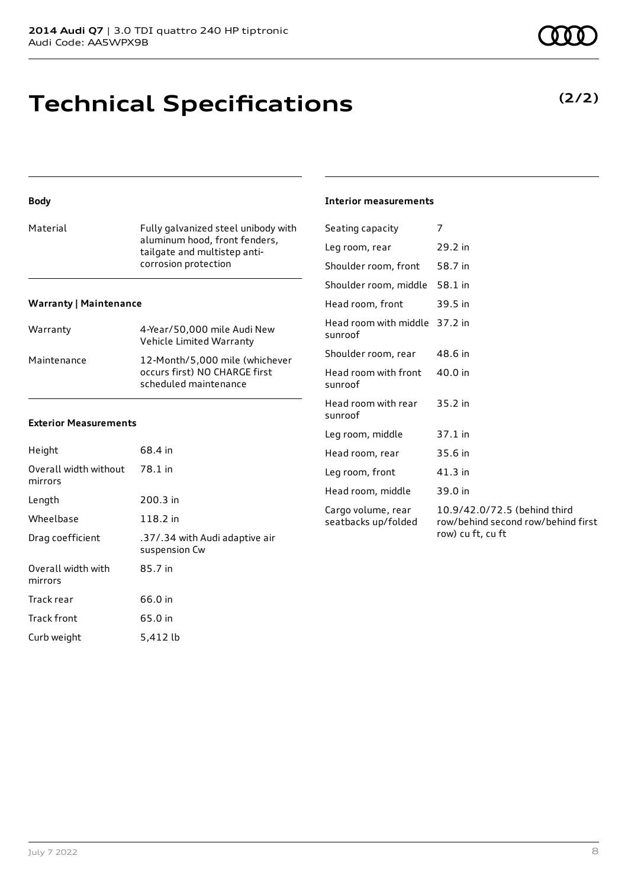### **Technical Specifications**

### **Body**

| Material | Fully galvanized steel unibody with<br>aluminum hood, front fenders, |
|----------|----------------------------------------------------------------------|
|          | tailgate and multistep anti-                                         |
|          | corrosion protection                                                 |

#### **Warranty | Maintenance**

| Warranty    | 4-Year/50,000 mile Audi New<br>Vehicle Limited Warranty                                  |
|-------------|------------------------------------------------------------------------------------------|
| Maintenance | 12-Month/5,000 mile (whichever<br>occurs first) NO CHARGE first<br>scheduled maintenance |

#### **Exterior Measurements**

| Height                           | 68.4 in                                         |
|----------------------------------|-------------------------------------------------|
| Overall width without<br>mirrors | 78.1 in                                         |
| Length                           | 200.3 in                                        |
| Wheelbase                        | 118.2 in                                        |
| Drag coefficient                 | .37/.34 with Audi adaptive air<br>suspension Cw |
| Overall width with<br>mirrors    | 85.7 in                                         |
| Track rear                       | 66.0 in                                         |
| Track front                      | 65.0 in                                         |
| Curb weight                      | 5.412 lb                                        |

#### **Interior measurements**

| Seating capacity                          | 7                                                                                       |
|-------------------------------------------|-----------------------------------------------------------------------------------------|
| Leg room, rear                            | 29.2 in                                                                                 |
| Shoulder room, front                      | 58.7 in                                                                                 |
| Shoulder room, middle                     | 58.1 in                                                                                 |
| Head room, front                          | 39.5 in                                                                                 |
| Head room with middle<br>sunroof          | 37.2 in                                                                                 |
| Shoulder room, rear                       | 48.6 in                                                                                 |
| Head room with front<br>sunroof           | 40.0 in                                                                                 |
| Head room with rear<br>sunroof            | 35.2 in                                                                                 |
| Leg room, middle                          | 37.1 in                                                                                 |
| Head room, rear                           | 35.6 in                                                                                 |
| Leg room, front                           | $41.3$ in                                                                               |
| Head room, middle                         | 39.0 in                                                                                 |
| Cargo volume, rear<br>seatbacks up/folded | 10.9/42.0/72.5 (behind third<br>row/behind second row/behind first<br>row) cu ft, cu ft |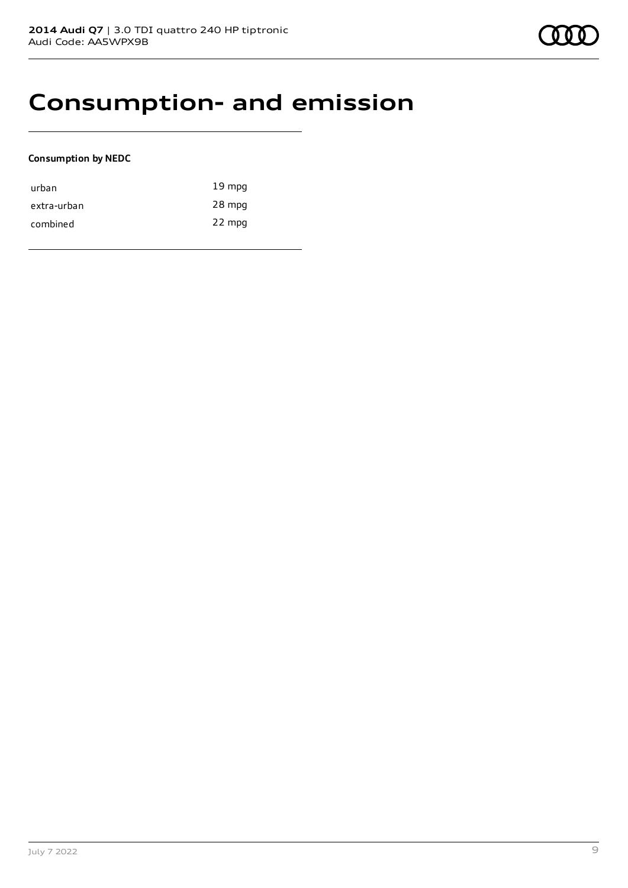### **Consumption- and emission**

#### **Consumption by NEDC**

| urban       | $19 \text{ mpg}$ |
|-------------|------------------|
| extra-urban | 28 mpg           |
| combined    | 22 mpg           |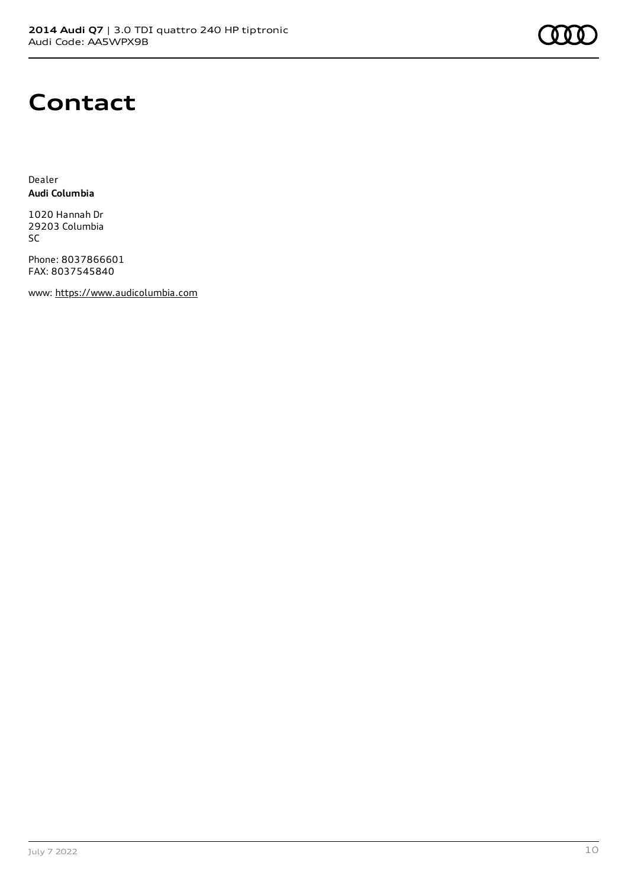

### **Contact**

Dealer **Audi Columbia**

1020 Hannah Dr 29203 Columbia SC

Phone: 8037866601 FAX: 8037545840

www: [https://www.audicolumbia.com](https://www.audicolumbia.com/)